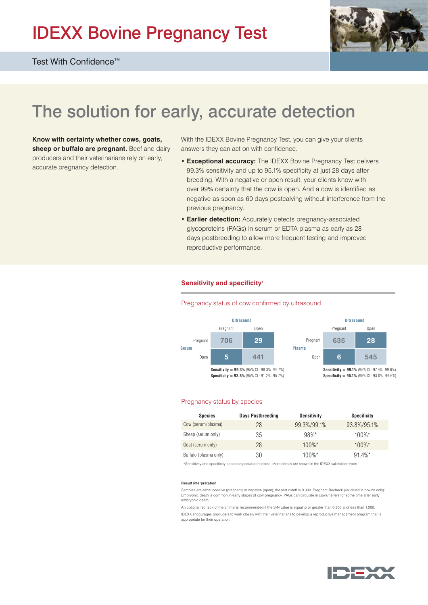# IDEXX Bovine Pregnancy Test



## The solution for early, accurate detection

**Know with certainty whether cows, goats,**  sheep or buffalo are pregnant. Beef and dairy producers and their veterinarians rely on early, accurate pregnancy detection.

With the IDEXX Bovine Pregnancy Test, you can give your clients answers they can act on with confidence.

- **Exceptional accuracy:** The IDEXX Bovine Pregnancy Test delivers 99.3% sensitivity and up to 95.1% specificity at just 28 days after breeding. With a negative or open result, your clients know with over 99% certainty that the cow is open. And a cow is identified as negative as soon as 60 days postcalving without interference from the previous pregnancy.
- **Earlier detection:** Accurately detects pregnancy-associated glycoproteins (PAGs) in serum or EDTA plasma as early as 28 days postbreeding to allow more frequent testing and improved reproductive performance.

#### **Sensitivity and specificity**<sup>1</sup>

#### Pregnancy status of cow confirmed by ultrasound



#### Pregnancy status by species

| <b>Species</b>        | <b>Days Postbreeding</b> | Sensitivity | <b>Specificity</b> |
|-----------------------|--------------------------|-------------|--------------------|
| Cow (serum/plasma)    | 28                       | 99.3%/99.1% | 93.8%/95.1%        |
| Sheep (serum only)    | 35                       | $98%$ *     | $100\%$ *          |
| Goat (serum only)     | 28                       | $100\%$ *   | $100\%$ *          |
| Buffalo (plasma only) | 30                       | $100\%$ *   | $91.4\%$ *         |

\*Sensitivity and specificity based on population tested. More details are shown in the IDEXX validation report.

#### Result interpretation

Samples are either positive (pregnant) or negative (open); the test cutoff is 0.300. Pregnant-Recheck (validated in bovine only): Embryonic death is common in early stages of cow pregnancy. PAGs can circulate in cows/heifers for some time after early embryonic death.

An optional recheck of the animal is recommended if the S-N value is equal to or greater than 0.300 and less than 1.000. IDEXX encourages producers to work closely with their veterinarians to develop a reproductive management program that is appropriate for their operation.